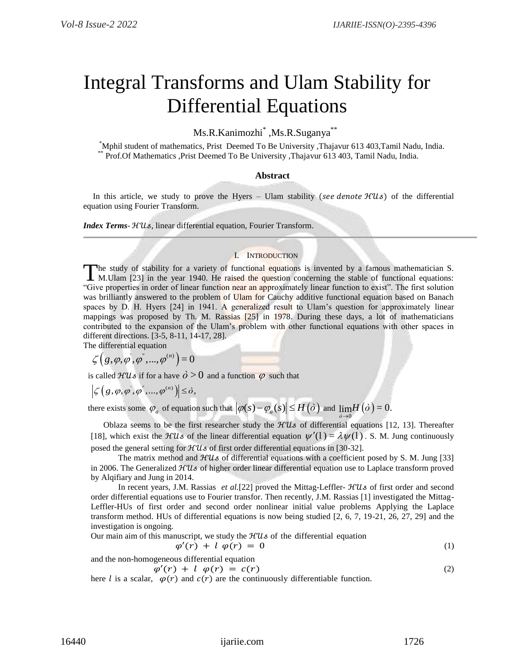# Integral Transforms and Ulam Stability for Differential Equations

Ms.R.Kanimozhi<sup>\*</sup>,Ms.R.Suganya<sup>\*\*</sup>

\*Mphil student of mathematics, Prist Deemed To Be University ,Thajavur 613 403,Tamil Nadu, India. \*\* Prof.Of Mathematics ,Prist Deemed To Be University ,Thajavur 613 403, Tamil Nadu, India.

## **Abstract**

In this article, we study to prove the Hyers – Ulam stability (see denote  $H(u<sub>s</sub>)$ ) of the differential equation using Fourier Transform.

*Index Terms-*  $HUs$ *, linear differential equation, Fourier Transform.* 

# I. INTRODUCTION

The study of stability for a variety of functional equations is invented by a famous mathematician S. The study of stability for a variety of functional equations is invented by a famous mathematician S.<br>
M.Ulam [23] in the year 1940. He raised the question concerning the stable of functional equations: "Give properties in order of linear function near an approximately linear function to exist". The first solution was brilliantly answered to the problem of Ulam for Cauchy additive functional equation based on Banach spaces by D. H. Hyers [24] in 1941. A generalized result to Ulam's question for approximately linear mappings was proposed by Th. M. Rassias [25] in 1978. During these days, a lot of mathematicians contributed to the expansion of the Ulam's problem with other functional equations with other spaces in different directions. [3-5, 8-11, 14-17, 28].

The differential equation  
\n
$$
\zeta(g, \varphi, \varphi^{'}, \varphi^{''}, ..., \varphi^{(n)}) = 0
$$

is called  $\mathcal{H}Us$  if for a have  $\dot{\theta} > 0$  and a function  $\varphi$  such that

$$
\left|\zeta\left(\right,g,\varphi,\varphi^{\degree},...,\varphi^{(n)}\right)\right|\leq\delta,
$$

there exists some  $\varphi_a$  of equation such that  $|\varphi(s) - \varphi_a(s)| \le H(\dot{o})$  and  $\lim_{\dot{o} \to 0} H(\dot{o}) = 0$ .

Oblaza seems to be the first researcher study the  $HUs$  of differential equations [12, 13]. Thereafter [18], which exist the  $\mathcal{H}Us$  of the linear differential equation  $\psi'(1) = \lambda \psi(1)$ . S. M. Jung continuously posed the general setting for  $HUs$  of first order differential equations in [30-32].

The matrix method and  $HUs$  of differential equations with a coefficient posed by S. M. Jung [33] in 2006. The Generalized  $\mathcal{H}Us$  of higher order linear differential equation use to Laplace transform proved by Alqifiary and Jung in 2014.

In recent years, J.M. Rassias *et al.*[22] proved the Mittag-Leffler-  $\mathcal{H}Us$  of first order and second order differential equations use to Fourier transfor. Then recently, J.M. Rassias [1] investigated the Mittag-Leffler-HUs of first order and second order nonlinear initial value problems Applying the Laplace transform method. HUs of differential equations is now being studied [2, 6, 7, 19-21, 26, 27, 29] and the investigation is ongoing.

Our main aim of this manuscript, we study the  $HUs$  of the differential equation

$$
\varphi'(r) + l \varphi(r) = 0 \tag{1}
$$

and the non-homogeneous differential equation

 $\varphi'(r) + l \varphi(r) = c(r)$  (2)

here l is a scalar,  $\varphi(r)$  and  $c(r)$  are the continuously differentiable function.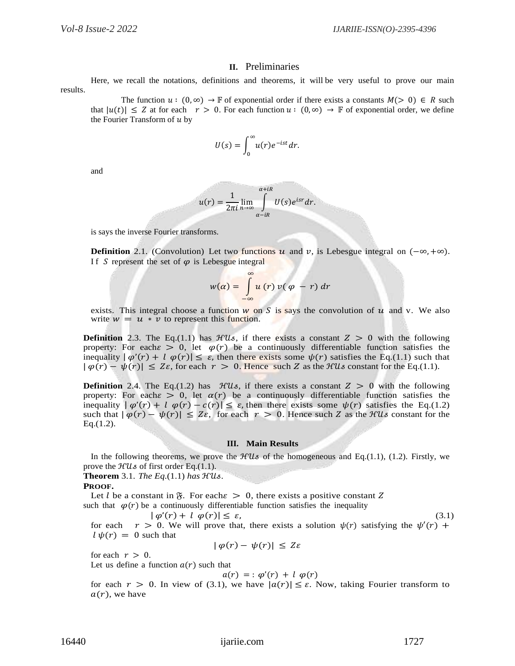## **II.** Preliminaries

Here, we recall the notations, definitions and theorems, it will be very useful to prove our main results.

The function  $u : (0, \infty) \to \mathbb{F}$  of exponential order if there exists a constants  $M(> 0) \in R$  such that  $|u(t)| \leq Z$  at for each  $r > 0$ . For each function  $u : (0, \infty) \to \mathbb{F}$  of exponential order, we define the Fourier Transform of  $u$  by

$$
U(s) = \int_0^\infty u(r) e^{-ist} dr.
$$

and

$$
u(r) = \frac{1}{2\pi i} \lim_{n \to \infty} \int_{\alpha - iR}^{\alpha + iR} U(s)e^{isr} dr.
$$

is says the inverse Fourier transforms.

**Definition** 2.1. (Convolution) Let two functions  $u$  and  $v$ , is Lebesgue integral on  $(-\infty, +\infty)$ . If S represent the set of  $\varphi$  is Lebesgue integral

$$
w(\alpha) = \int_{-\infty}^{\infty} u(r) v(\varphi - r) dr
$$

exists. This integral choose a function  $w$  on  $S$  is says the convolution of  $u$  and v. We also write  $w = u * v$  to represent this function.

**Definition** 2.3. The Eq.(1.1) has  $\mathcal{H}Us$ , if there exists a constant  $Z > 0$  with the following property: For each  $\epsilon > 0$ , let  $\varphi(r)$  be a continuously differentiable function satisfies the inequality  $|\varphi'(r) + l \varphi(r)| \leq \varepsilon$ , then there exists some  $\psi(r)$  satisfies the Eq.(1.1) such that  $|\varphi(r) - \psi(r)| \leq Z\varepsilon$ , for each  $r > 0$ . Hence such Z as the *HUs* constant for the Eq.(1.1).

**Definition** 2.4. The Eq.(1.2) has  $\mathcal{H}Us$ , if there exists a constant  $Z > 0$  with the following property: For each  $\epsilon > 0$ , let  $\alpha(r)$  be a continuously differentiable function satisfies the inequality  $|\varphi'(r) + l \varphi(r) - c(r)| \leq \varepsilon$ , then there exists some  $\psi(r)$  satisfies the Eq.(1.2) such that  $|\varphi(r) - \psi(r)| \leq Z\varepsilon$ , for each  $r > 0$ . Hence such Z as the *XUs* constant for the  $Eq.(1.2).$ 

#### **III. Main Results**

In the following theorems, we prove the  $\mathcal{H}Us$  of the homogeneous and Eq.(1.1), (1.2). Firstly, we prove the  $\mathcal{H}U\mathcal{S}$  of first order Eq.(1.1).

**Theorem** 3.1. *The Eq.*(1.1) *has* ℋ*.*

#### **PROOF.**

Let l be a constant in  $\mathfrak{F}$ . For each  $\epsilon > 0$ , there exists a positive constant Z such that  $\varphi(r)$  be a continuously differentiable function satisfies the inequality

$$
|\varphi'(r) + l \varphi(r)| \le \varepsilon,\tag{3.1}
$$

for each  $r > 0$ . We will prove that, there exists a solution  $\psi(r)$  satisfying the  $\psi'(r)$  +  $l \psi(r) = 0$  such that

 $|\varphi(r) - \psi(r)| \leq Z\varepsilon$ 

for each  $r > 0$ .

Let us define a function  $a(r)$  such that

$$
a(r) = \varphi'(r) + l \varphi(r)
$$

for each  $r > 0$ . In view of (3.1), we have  $|a(r)| \leq \varepsilon$ . Now, taking Fourier transform to  $a(r)$ , we have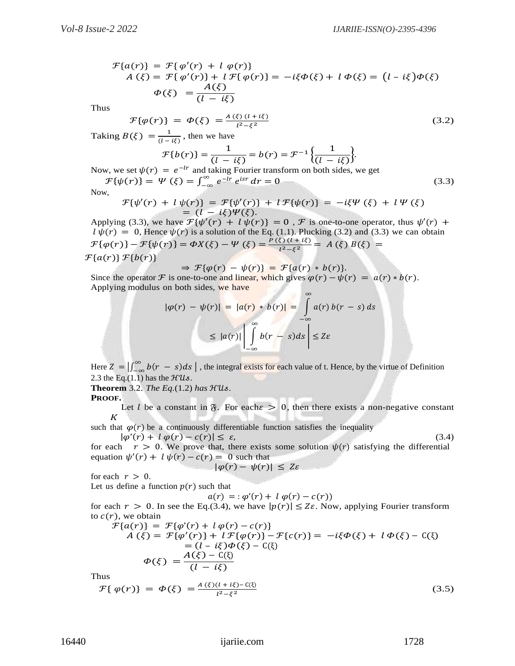$$
\mathcal{F}\lbrace a(r)\rbrace = \mathcal{F}\lbrace \varphi'(r) + l \varphi(r)\rbrace
$$
  
\n
$$
A(\xi) = \mathcal{F}\lbrace \varphi'(r)\rbrace + l \mathcal{F}\lbrace \varphi(r)\rbrace = -i\xi\Phi(\xi) + l \Phi(\xi) = (l - i\xi)\Phi(\xi)
$$
  
\n
$$
\Phi(\xi) = \frac{A(\xi)}{(l - i\xi)}
$$

Thus

$$
\mathcal{F}\{\varphi(r)\} = \varphi(\xi) = \frac{A(\xi)(l + i\xi)}{l^2 - \xi^2} \tag{3.2}
$$

Taking  $B(\xi) = \frac{1}{\xi}$  $\frac{1}{(l - i\xi)}$ , then we have

$$
\mathcal{F}{b(r)} = \frac{1}{(l - i\xi)} = b(r) = \mathcal{F}^{-1}\left{\frac{1}{(l - i\xi)}\right}.
$$

Now, we set  $\psi(r) = e^{-lr}$  and taking Fourier transform on both sides, we get  $\mathcal{F}\{\psi(r)\} = \Psi\left(\xi\right) = \int_{-\infty}^{\infty} e^{-lr} e^{isr}$  $e^{-\alpha} e^{-\alpha} e^{\alpha} dr = 0$  (3.3)

Now,

$$
\mathcal{F}{\psi'(r) + l \psi(r)} = \mathcal{F}{\psi'(r)} + l \mathcal{F}{\psi(r)} = -i\xi \Psi(\xi) + l \Psi(\xi)
$$
  
=  $(l - i\xi)\Psi(\xi)$ .

Applying (3.3), we have  $\mathcal{F}\{\psi'(r) + l\psi(r)\} = 0$ ,  $\mathcal F$  is one-to-one operator, thus  $\psi'(r)$  +  $l \psi(r) = 0$ , Hence  $\psi(r)$  is a solution of the Eq. (1.1). Plucking (3.2) and (3.3) we can obtain  $\mathcal{F}\{\varphi(r)\} - \mathcal{F}\{\psi(r)\} = \varphi X(\xi) - \Psi(\xi) = \frac{P(\xi)(1+i\xi)}{1^2 - \xi^2}$  $\frac{\xi}{\xi^2-\xi^2} = A(\xi) B(\xi) =$ 

 $\mathcal{F}\lbrace a(r)\rbrace \mathcal{F}\lbrace b(r)\rbrace$ 

 $\Rightarrow$   $\mathcal{F}{\varphi(r) - \psi(r)} = \mathcal{F}{a(r) * b(r)}.$ 

Since the operator *F* is one-to-one and linear, which gives  $\varphi(r) - \psi(r) = a(r) * b(r)$ . Applying modulus on both sides, we have ∞

$$
|\varphi(r) - \psi(r)| = |a(r) * b(r)| = \int_{-\infty}^{\infty} a(r) b(r - s) ds
$$
  

$$
\leq |a(r)| \left| \int_{-\infty}^{\infty} b(r - s) ds \right| \leq Z\varepsilon
$$

Here  $Z = \int_{-\infty}^{\infty} b(r - s) ds$ , the integral exists for each value of t. Hence, by the virtue of Definition 2.3 the Eq.(1.1) has the  $HUs$ .

**Theorem** 3.2. *The Eq.*(1.2) *has* ℋ*.*

## **PROOF.**

Let *l* be a constant in  $\mathfrak{F}$ . For each  $\epsilon > 0$ , then there exists a non-negative constant  $K$ 

such that  $\varphi(r)$  be a continuously differentiable function satisfies the inequality  $|\varphi'(r) + l \varphi(r) - c(r)| \leq \varepsilon,$  (3.4)

for each  $r > 0$ . We prove that, there exists some solution  $\psi(r)$  satisfying the differential equation  $\psi'(r) + l \psi(r) - c(r) = 0$  such that  $|\varphi(r) - \psi(r)| \leq Z\varepsilon$ 

for each  $r > 0$ .

Let us define a function  $p(r)$  such that

 $a(r) = : \varphi'(r) + l \varphi(r) - c(r)$ for each  $r > 0$ . In see the Eq.(3.4), we have  $|p(r)| \leq Z\varepsilon$ . Now, applying Fourier transform to  $c(r)$ , we obtain

$$
\mathcal{F}\{a(r)\} = \mathcal{F}\{\varphi'(r) + l\varphi(r) - c(r)\}\n\nA(\xi) = \mathcal{F}\{\varphi'(r)\} + l\mathcal{F}\{\varphi(r)\} - \mathcal{F}\{c(r)\} = -i\xi\varphi(\xi) + l\varphi(\xi) - C(\xi)\n\n= (l - i\xi)\varphi(\xi) - C(\xi)\n\n\varphi(\xi) = \frac{A(\xi) - C(\xi)}{(l - i\xi)}
$$
\nThus

Thu

$$
\mathcal{F}\{\,\varphi(r)\} \,=\, \varPhi(\xi) \,=\, \frac{A\,(\xi)(l + i\xi) - C(\xi)}{l^2 - \xi^2} \tag{3.5}
$$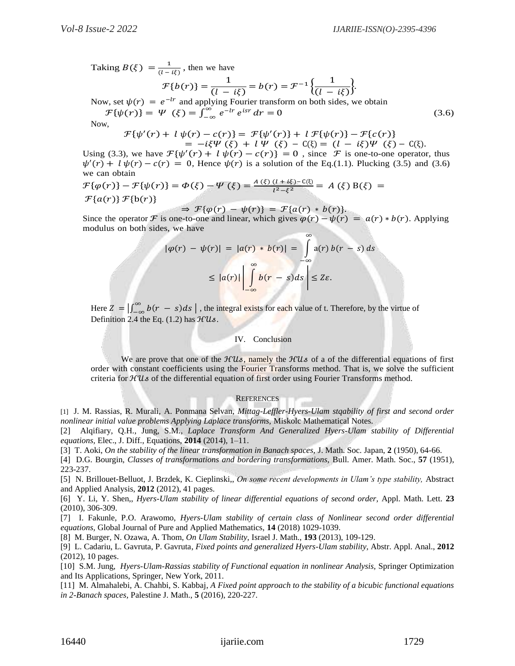Taking  $B(\xi) = \frac{1}{a}$  $\frac{1}{(l - i\xi)}$ , then we have

$$
\mathcal{F}{b(r)} = \frac{1}{(l - i\xi)} = b(r) = \mathcal{F}^{-1}\left{\frac{1}{(l - i\xi)}\right}.
$$

Now, set  $\psi(r) = e^{-lr}$  and applying Fourier transform on both sides, we obtain  $\mathcal{F}{\{\psi(r)\}} = \Psi \ (\xi) = \int_{-\infty}^{\infty} e^{-lr} e^{isr}$  $\int_{-\infty}^{\infty} e^{-lr} e^{isr} dr = 0$  (3.6)

Now,

 $\tau$ 

$$
\{\psi'(r) + l\psi(r) - c(r)\} = \mathcal{F}\{\psi'(r)\} + l\mathcal{F}\{\psi(r)\} - \mathcal{F}\{c(r)\}\n= -i\xi\Psi(\xi) + l\Psi(\xi) - C(\xi) = (l - i\xi)\Psi(\xi) - C(\xi).
$$

Using (3.3), we have  $\mathcal{F}\{\psi'(r) + l\psi(r) - c(r)\} = 0$ , since  $\mathcal F$  is one-to-one operator, thus  $\psi'(r) + l \psi(r) - c(r) = 0$ , Hence  $\psi(r)$  is a solution of the Eq.(1.1). Plucking (3.5) and (3.6) we can obtain

$$
\mathcal{F}\{\varphi(r)\} - \mathcal{F}\{\psi(r)\} = \Phi(\xi) - \Psi(\xi) = \frac{A(\xi)(l + i\xi) - C(\xi)}{l^2 - \xi^2} = A(\xi) B(\xi) = \mathcal{F}\{a(r)\} \mathcal{F}\{b(r)\}
$$

 $\Rightarrow$   $\mathcal{F}{\varphi(r) - \psi(r)} = \mathcal{F}{a(r) * b(r)}.$ Since the operator **F** is one-to-one and linear, which gives  $\varphi(r) - \psi(r) = a(r) * b(r)$ . Applying modulus on both sides, we have ∞

$$
|\varphi(r) - \psi(r)| = |a(r) * b(r)| = \int_{-\infty}^{\infty} a(r) b(r - s) ds
$$
  

$$
\leq |a(r)| \left| \int_{-\infty}^{\infty} b(r - s) ds \right| \leq Z \varepsilon.
$$

Here  $Z = \int_{-\infty}^{\infty} b(r - s) ds$ , the integral exists for each value of t. Therefore, by the virtue of Definition 2.4 the Eq.  $(1.2)$  has  $HUs$ .

## IV. Conclusion

We are prove that one of the  $HUs$ , namely the  $HUs$  of a of the differential equations of first order with constant coefficients using the Fourier Transforms method. That is, we solve the sufficient criteria for  $HUs$  of the differential equation of first order using Fourier Transforms method.

#### **REFERENCES**

[1] J. M. Rassias, R. Murali, A. Ponmana Selvan, *Mittag-Leffler-Hyers-Ulam stqability of first and second order nonlinear initial value problems Applying Laplace transforms,* Miskolc Mathematical Notes.

[2] Alqifiary, Q.H., Jung, S.M., *Laplace Transform And Generalized Hyers-Ulam stability of Differential equations,* Elec., J. Diff., Equations, **2014** (2014), 1–11.

[3] T. Aoki, *On the stability of the linear transformation in Banach spaces,* J. Math. Soc. Japan, **2** (1950), 64-66.

[4] D.G. Bourgin, *Classes of transformations and bordering transformations,* Bull. Amer. Math. Soc., **57** (1951), 223-237.

[5] N. Brillouet-Belluot, J. Brzdek, K. Cieplinski,, *On some recent developments in Ulam's type stability,* Abstract and Applied Analysis, **2012** (2012), 41 pages.

[6] Y. Li, Y. Shen,, *Hyers-Ulam stability of linear differential equations of second order,* Appl. Math. Lett. **23** (2010), 306-309.

[7] I. Fakunle, P.O. Arawomo, *Hyers-Ulam stability of certain class of Nonlinear second order differential equations,* Global Journal of Pure and Applied Mathematics, **14** (2018) 1029-1039.

[8] M. Burger, N. Ozawa, A. Thom, *On Ulam Stability,* Israel J. Math., **193** (2013), 109-129.

[9] L. Cadariu, L. Gavruta, P. Gavruta, *Fixed points and generalized Hyers-Ulam stability,* Abstr. Appl. Anal., **2012** (2012), 10 pages.

[10] S.M. Jung, *Hyers-Ulam-Rassias stability of Functional equation in nonlinear Analysis,* Springer Optimization and Its Applications, Springer, New York, 2011.

[11] M. Almahalebi, A. Chahbi, S. Kabbaj, *A Fixed point approach to the stability of a bicubic functional equations in 2-Banach spaces,* Palestine J. Math., **5** (2016), 220-227.